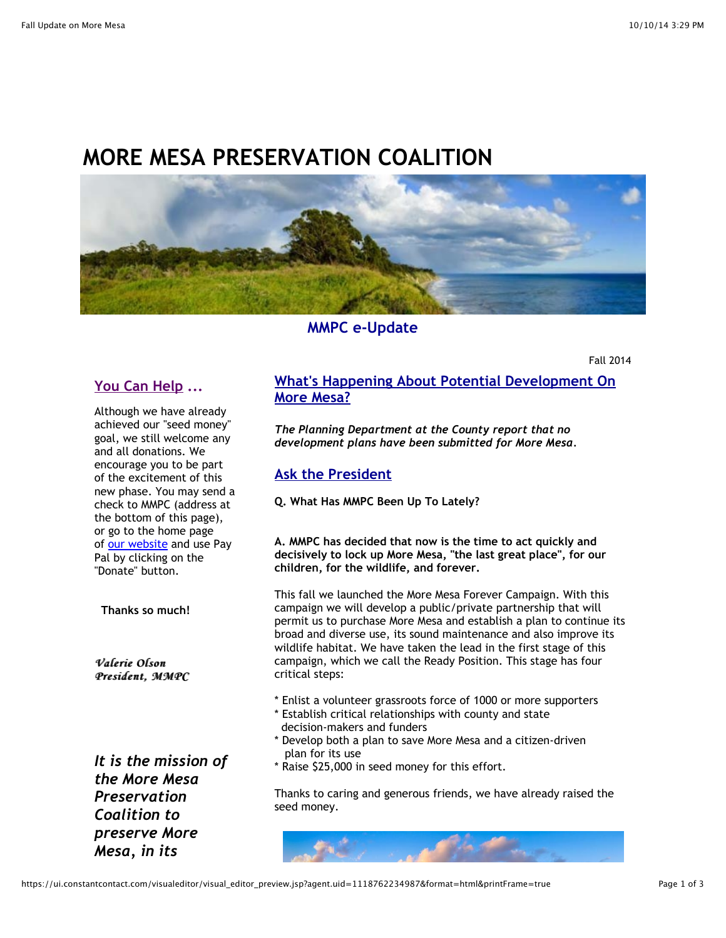# **MORE MESA PRESERVATION COALITION**



#### **MMPC e-Update**

Fall 2014

## **You Can Help ...**

Although we have already achieved our "seed money" goal, we still welcome any and all donations. We encourage you to be part of the excitement of this new phase. You may send a check to MMPC (address at the bottom of this page), or go to the home page of [our website](http://r20.rs6.net/tn.jsp?e=001t_9I2GuXaKoQLLdMvpIyEK4M_5LZF7oCDPw7LoCrh28eHB7QMEvfWxmoNRBv0u4skKQU7eQ1THPtJ5_wADfPv6mUbY3KKts-CtYEokQuHeQ=) and use Pay Pal by clicking on the "Donate" button.

**Thanks so much!**

*Valerie Olson Valerie Olson President, MMPC MMPC*

*It is the mission of the More Mesa Preservation Coalition to preserve More Mesa, in its*

### **What's Happening About Potential Development On More Mesa?**

*The Planning Department at the County report that no development plans have been submitted for More Mesa.*

#### **Ask the President**

**Q. What Has MMPC Been Up To Lately?**

**A. MMPC has decided that now is the time to act quickly and decisively to lock up More Mesa, "the last great place", for our children, for the wildlife, and forever.**

This fall we launched the More Mesa Forever Campaign. With this campaign we will develop a public/private partnership that will permit us to purchase More Mesa and establish a plan to continue its broad and diverse use, its sound maintenance and also improve its wildlife habitat. We have taken the lead in the first stage of this campaign, which we call the Ready Position. This stage has four critical steps:

- \* Enlist a volunteer grassroots force of 1000 or more supporters
- \* Establish critical relationships with county and state decision-makers and funders
- \* Develop both a plan to save More Mesa and a citizen-driven plan for its use
- \* Raise \$25,000 in seed money for this effort.

Thanks to caring and generous friends, we have already raised the seed money.

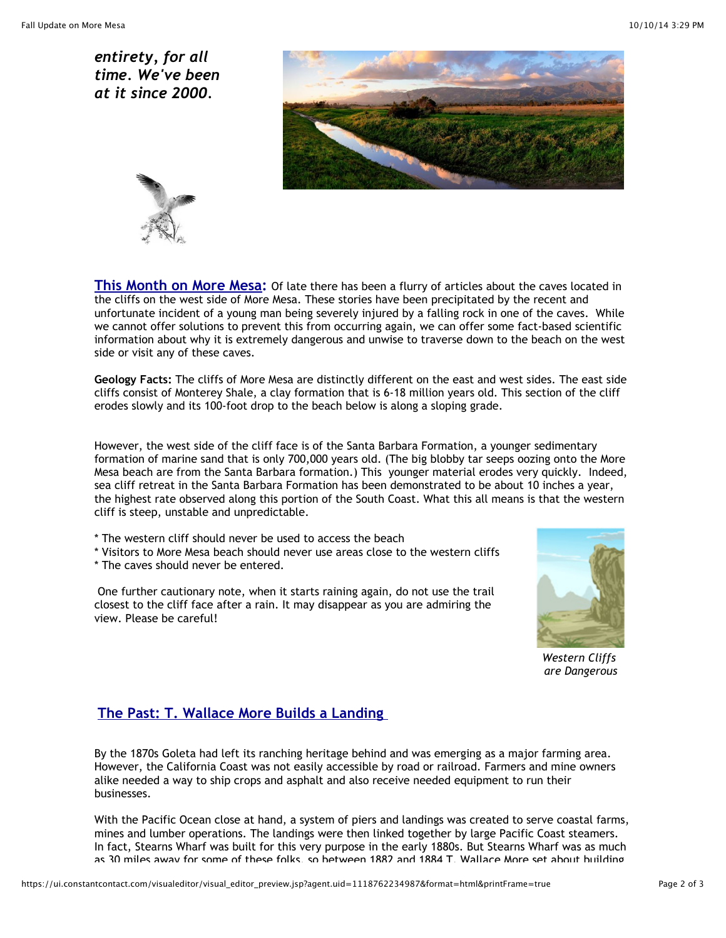*entirety, for all time. We've been at it since 2000.*





**This Month on More Mesa:** Of late there has been a flurry of articles about the caves located in the cliffs on the west side of More Mesa. These stories have been precipitated by the recent and unfortunate incident of a young man being severely injured by a falling rock in one of the caves. While we cannot offer solutions to prevent this from occurring again, we can offer some fact-based scientific information about why it is extremely dangerous and unwise to traverse down to the beach on the west side or visit any of these caves.

**Geology Facts:** The cliffs of More Mesa are distinctly different on the east and west sides. The east side cliffs consist of Monterey Shale, a clay formation that is 6-18 million years old. This section of the cliff erodes slowly and its 100-foot drop to the beach below is along a sloping grade.

However, the west side of the cliff face is of the Santa Barbara Formation, a younger sedimentary formation of marine sand that is only 700,000 years old. (The big blobby tar seeps oozing onto the More Mesa beach are from the Santa Barbara formation.) This younger material erodes very quickly. Indeed, sea cliff retreat in the Santa Barbara Formation has been demonstrated to be about 10 inches a year, the highest rate observed along this portion of the South Coast. What this all means is that the western cliff is steep, unstable and unpredictable.

- \* The western cliff should never be used to access the beach
- \* Visitors to More Mesa beach should never use areas close to the western cliffs
- \* The caves should never be entered.

One further cautionary note, when it starts raining again, do not use the trail closest to the cliff face after a rain. It may disappear as you are admiring the view. Please be careful!



*Western Cliffs are Dangerous*

#### **The Past: T. Wallace More Builds a Landing**

By the 1870s Goleta had left its ranching heritage behind and was emerging as a major farming area. However, the California Coast was not easily accessible by road or railroad. Farmers and mine owners alike needed a way to ship crops and asphalt and also receive needed equipment to run their businesses.

With the Pacific Ocean close at hand, a system of piers and landings was created to serve coastal farms, mines and lumber operations. The landings were then linked together by large Pacific Coast steamers. In fact, Stearns Wharf was built for this very purpose in the early 1880s. But Stearns Wharf was as much as 30 miles away for some of these folks, so between 1882 and 1884 T. Wallace More set about building